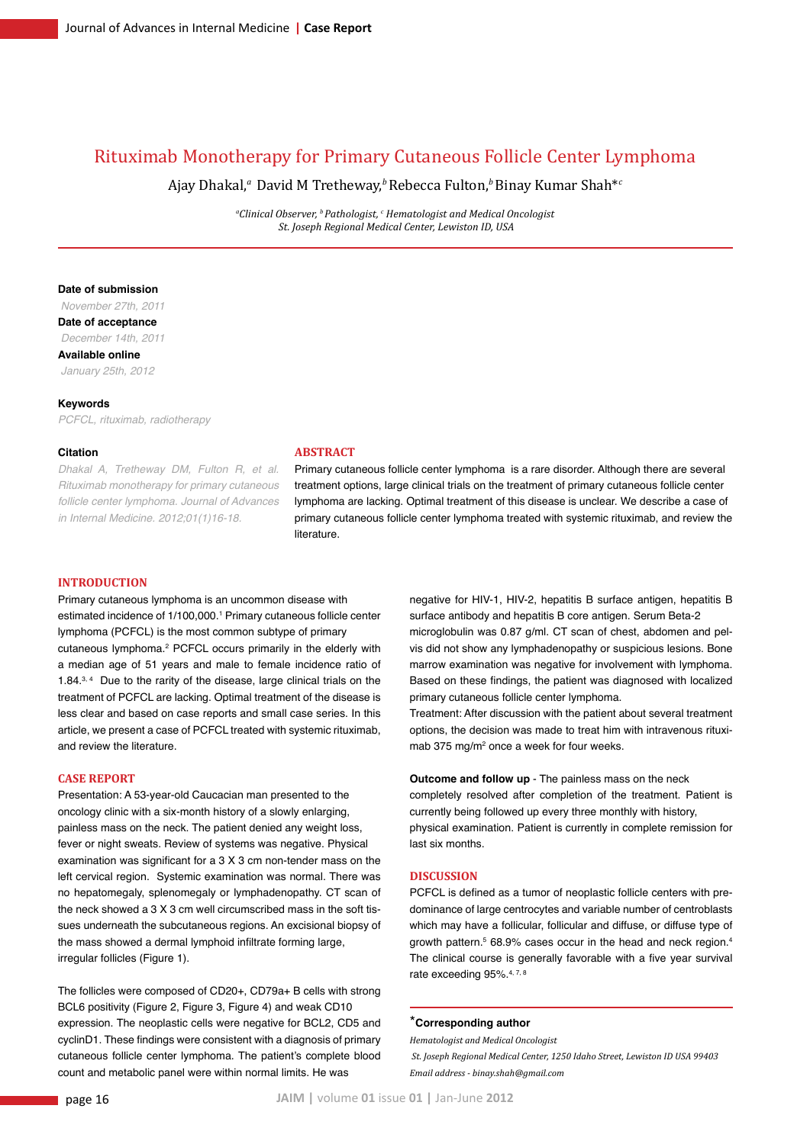# Rituximab Monotherapy for Primary Cutaneous Follicle Center Lymphoma

Ajay Dhakal,*<sup>a</sup>* David M Tretheway,*<sup>b</sup>*Rebecca Fulton,*<sup>b</sup>*Binay Kumar Shah\**<sup>c</sup>*

*a Clinical Observer, b Pathologist, c Hematologist and Medical Oncologist St. Joseph Regional Medical Center, Lewiston ID, USA*

#### **Date of submission**

 *November 27th, 2011* **Date of acceptance**  *December 14th, 2011* **Available online**  *January 25th, 2012*

#### **Keywords**

*PCFCL, rituximab, radiotherapy*

#### **Citation**

*Dhakal A, Tretheway DM, Fulton R, et al. Rituximab monotherapy for primary cutaneous follicle center lymphoma. Journal of Advances in Internal Medicine. 2012;01(1)16-18.*

# **Abstract**

Primary cutaneous follicle center lymphoma is a rare disorder. Although there are several treatment options, large clinical trials on the treatment of primary cutaneous follicle center lymphoma are lacking. Optimal treatment of this disease is unclear. We describe a case of primary cutaneous follicle center lymphoma treated with systemic rituximab, and review the literature.

#### **Introduction**

Primary cutaneous lymphoma is an uncommon disease with estimated incidence of 1/100,000.<sup>1</sup> Primary cutaneous follicle center lymphoma (PCFCL) is the most common subtype of primary cutaneous lymphoma.<sup>2</sup> PCFCL occurs primarily in the elderly with a median age of 51 years and male to female incidence ratio of 1.84.3,4 Due to the rarity of the disease, large clinical trials on the treatment of PCFCL are lacking. Optimal treatment of the disease is less clear and based on case reports and small case series. In this article, we present a case of PCFCL treated with systemic rituximab, and review the literature.

#### **Case Report**

Presentation: A 53-year-old Caucacian man presented to the oncology clinic with a six-month history of a slowly enlarging, painless mass on the neck. The patient denied any weight loss, fever or night sweats. Review of systems was negative. Physical examination was significant for a 3 X 3 cm non-tender mass on the left cervical region. Systemic examination was normal. There was no hepatomegaly, splenomegaly or lymphadenopathy. CT scan of the neck showed a 3 X 3 cm well circumscribed mass in the soft tissues underneath the subcutaneous regions. An excisional biopsy of the mass showed a dermal lymphoid infiltrate forming large, irregular follicles (Figure 1).

The follicles were composed of CD20+, CD79a+ B cells with strong BCL6 positivity (Figure 2, Figure 3, Figure 4) and weak CD10 expression. The neoplastic cells were negative for BCL2, CD5 and cyclinD1. These findings were consistent with a diagnosis of primary cutaneous follicle center lymphoma. The patient's complete blood count and metabolic panel were within normal limits. He was

negative for HIV-1, HIV-2, hepatitis B surface antigen, hepatitis B surface antibody and hepatitis B core antigen. Serum Beta-2 microglobulin was 0.87 g/ml. CT scan of chest, abdomen and pelvis did not show any lymphadenopathy or suspicious lesions. Bone marrow examination was negative for involvement with lymphoma. Based on these findings, the patient was diagnosed with localized primary cutaneous follicle center lymphoma.

Treatment: After discussion with the patient about several treatment options, the decision was made to treat him with intravenous rituximab 375 mg/m<sup>2</sup> once a week for four weeks.

**Outcome and follow up** - The painless mass on the neck completely resolved after completion of the treatment. Patient is currently being followed up every three monthly with history, physical examination. Patient is currently in complete remission for last six months.

#### **Discussion**

PCFCL is defined as a tumor of neoplastic follicle centers with predominance of large centrocytes and variable number of centroblasts which may have a follicular, follicular and diffuse, or diffuse type of growth pattern.5 68.9% cases occur in the head and neck region.4 The clinical course is generally favorable with a five year survival rate exceeding 95%.<sup>4, 7, 8</sup>

### \***Corresponding author**

*Hematologist and Medical Oncologist St. Joseph Regional Medical Center, 1250 Idaho Street, Lewiston ID USA 99403 Email address - binay.shah@gmail.com*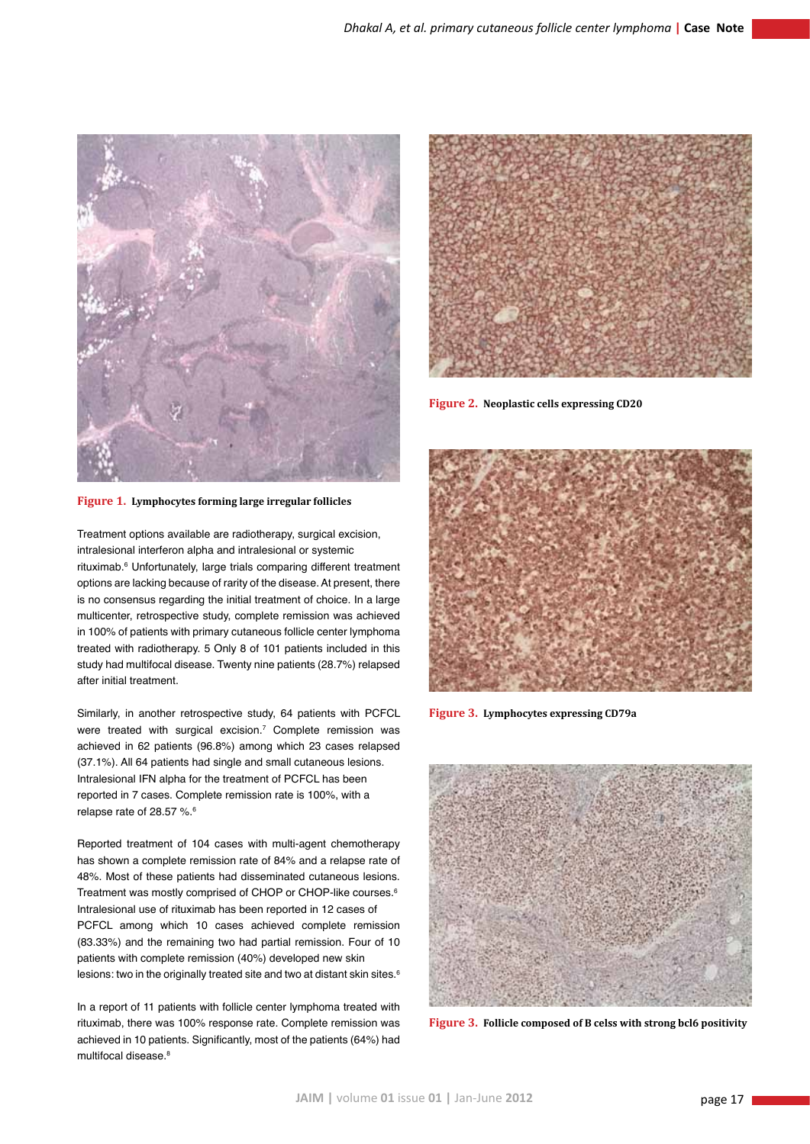

**Figure 1. Lymphocytes forming large irregular follicles**

Treatment options available are radiotherapy, surgical excision, intralesional interferon alpha and intralesional or systemic rituximab.<sup>6</sup> Unfortunately, large trials comparing different treatment options are lacking because of rarity of the disease. At present, there is no consensus regarding the initial treatment of choice. In a large multicenter, retrospective study, complete remission was achieved in 100% of patients with primary cutaneous follicle center lymphoma treated with radiotherapy. 5 Only 8 of 101 patients included in this study had multifocal disease. Twenty nine patients (28.7%) relapsed after initial treatment.

Similarly, in another retrospective study, 64 patients with PCFCL were treated with surgical excision.7 Complete remission was achieved in 62 patients (96.8%) among which 23 cases relapsed (37.1%). All 64 patients had single and small cutaneous lesions. Intralesional IFN alpha for the treatment of PCFCL has been reported in 7 cases. Complete remission rate is 100%, with a relapse rate of 28.57 %.<sup>6</sup>

Reported treatment of 104 cases with multi-agent chemotherapy has shown a complete remission rate of 84% and a relapse rate of 48%. Most of these patients had disseminated cutaneous lesions. Treatment was mostly comprised of CHOP or CHOP-like courses.<sup>6</sup> Intralesional use of rituximab has been reported in 12 cases of PCFCL among which 10 cases achieved complete remission (83.33%) and the remaining two had partial remission. Four of 10 patients with complete remission (40%) developed new skin lesions: two in the originally treated site and two at distant skin sites.<sup>6</sup>

In a report of 11 patients with follicle center lymphoma treated with rituximab, there was 100% response rate. Complete remission was achieved in 10 patients. Significantly, most of the patients (64%) had multifocal disease.<sup>8</sup>



**Figure 2. Neoplastic cells expressing CD20**



**Figure 3. Lymphocytes expressing CD79a**



**Figure 3. Follicle composed of B celss with strong bcl6 positivity**